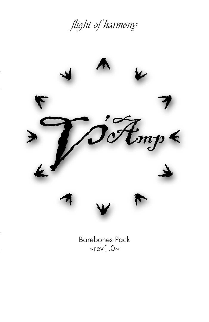flight of harmony



Barebones Pack  $\sim$ rev1.0 $\sim$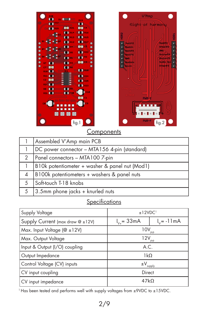

|   | Assembled V'Amp main PCB                       |
|---|------------------------------------------------|
|   | DC power connector - MTA156 4-pin (standard)   |
| 2 | Panel connectors - MTA100 7-pin                |
|   | B10k potentiometer + washer & panel nut (Mod1) |
| 4 | B100k potentiometers + washers & panel nuts    |
| 5 | Soft-touch T-18 knobs                          |
| 5 | $3.5$ mm phone jacks + knurled nuts            |

## **Specifications**

| Supply Voltage                     | ±12VDC <sup>1</sup>         |                        |
|------------------------------------|-----------------------------|------------------------|
| Supply Current (max draw @ ±12V)   | $I_{v_{+}} = 33 \text{ mA}$ | $I_v = -11 \text{ mA}$ |
| Max. Input Voltage ( $@ \pm 12V$ ) | $10V_{\text{p-p}}$          |                        |
| Max. Output Voltage                | $12V_{\text{p-p}}$          |                        |
| Input & Output (I/O) coupling      | A.C.                        |                        |
| Output Impedance                   | 1kO                         |                        |
| Control Voltage (CV) inputs        | $\pm V_{\text{supply}}$     |                        |
| CV input coupling                  | Direct                      |                        |
| CV input impedance                 | 47kO                        |                        |

<sup>1</sup> Has been tested and performs well with supply voltages from ±9VDC to ±15VDC.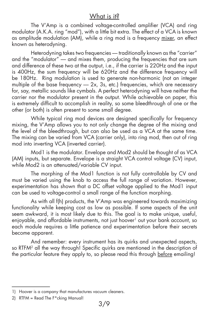### What is it?

 The V'Amp is a combined voltage-controlled amplifier (VCA) and ring modulator (A.K.A. ring "mod"), with a little bit extra. The effect of a VCA is known as amplitude modulation (AM), while a ring mod is a frequency mixer, an effect known as heterodyning.

Heterodyning takes two frequencies — traditionally known as the "carrier" and the "modulator" –– and mixes them, producing the frequencies that are sum and difference of these two at the output, i.e., if the carrier is 220Hz and the input is 400Hz, the sum frequency will be 620Hz and the difference frequency will be 180Hz. Ring modulation is used to generate non-harmonic (not an integer multiple of the base frequency  $-2x$ , 3s, etc.) frequencies, which are necessary for, say, metallic sounds like cymbals. A perfect heterodyning will have neither the carrier nor the modulator present in the output. While achievable on paper, this is extremely difficult to accomplish in reality, so some bleedthrough of one or the other (or both) is often present to some small degree.

 While typical ring mod devices are designed specifically for frequency mixing, the V'Amp allows you to not only change the degree of the mixing and the level of the bleedthrough, but can also be used as a VCA at the same time. The mixing can be varied from VCA (carrier only), into ring mod, then out of ring mod into inverting VCA (inverted carrier).

Mod1 is the modulator. Envelope and Mod2 should be thought of as VCA (AM) inputs, but separate. Envelope is a straight VCA control voltage (CV) input, while Mod2 is an attenuated/variable CV input.

The morphing of the Mod1 function is not fully controllable by CV and must be varied using the knob to access the full range of variation. However, experimentation has shown that a DC offset voltage applied to the Mod1 input can be used to voltage-control a small range of the function morphing.

As with all f(h) products, the V'Amp was engineered towards maximizing functionality while keeping cost as low as possible. If some aspects of the unit seem awkward, it is most likely due to this. The goal is to make unique, useful, enjoyable, and affordable instruments, not just hoover<sup>1</sup> out your bank account, so each module requires a little patience and experimentation before their secrets become apparent.

And remember: every instrument has its quirks and unexpected aspects, so RTFM<sup>2</sup> all the way through! Specific quirks are mentioned in the description of the particular feature they apply to, so please read this through before emailing!

<sup>1)</sup> Hoover is a company that manufactures vacuum cleaners.

<sup>2)</sup> RTFM = Read The F\*cking Manual!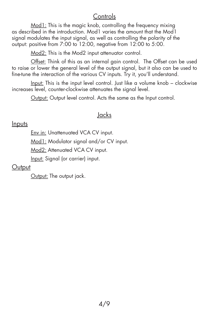# **Controls**

Mod1: This is the magic knob, controlling the frequency mixing as described in the introduction. Mod1 varies the amount that the Mod1 signal modulates the input signal, as well as controlling the polarity of the output: positive from 7:00 to 12:00, negative from 12:00 to 5:00.

Mod2: This is the Mod2 input attenuator control.

Offset: Think of this as an internal gain control. The Offset can be used to raise or lower the general level of the output signal, but it also can be used to fine-tune the interaction of the various CV inputs. Try it, you'll understand.

Input: This is the input level control. Just like a volume knob – clockwise increases level, counter-clockwise attenuates the signal level.

Output: Output level control. Acts the same as the Input control.

# Jacks

## **Inputs**

**Env in: Unattenuated VCA CV input.** 

Mod1: Modulator signal and/or CV input.

Mod2: Attenuated VCA CV input.

Input: Signal (or carrier) input.

# **Output**

Output: The output jack.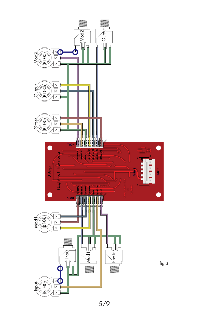

5/9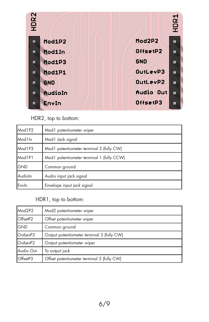

#### HDR2, top to bottom:

| Mod1P2              | Mod1 potentiometer wiper                  |
|---------------------|-------------------------------------------|
| Mod <sub>1</sub> In | Mod1 Jack signal                          |
| Mod <sub>1P3</sub>  | Mod 1 potentiometer terminal 3 (fully CW) |
| Mod1P1              | Mod1 potentiometer terminal 1 (fully CCW) |
| <b>GND</b>          | Common ground                             |
| Audioln             | Audio input jack signal                   |
| Envln               | Envelope input jack signal                |

#### HDR1, top to bottom:

| Mod2P2     | Mod2 potentiometer wiper                   |
|------------|--------------------------------------------|
| OffsetP2   | Offset potentiometer wiper                 |
| <b>GND</b> | Common ground                              |
| OutLevP3   | Output potentiometer terminal 3 (fully CW) |
| OutLevP2   | Output potentiometer wiper                 |
| Audio Out  | To output jack                             |
| OffsetP3   | Offset potentiometer terminal 3 (fully CW) |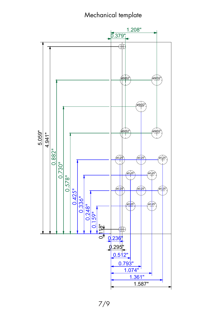# Mechanical template

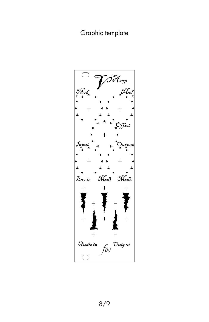# Graphic template